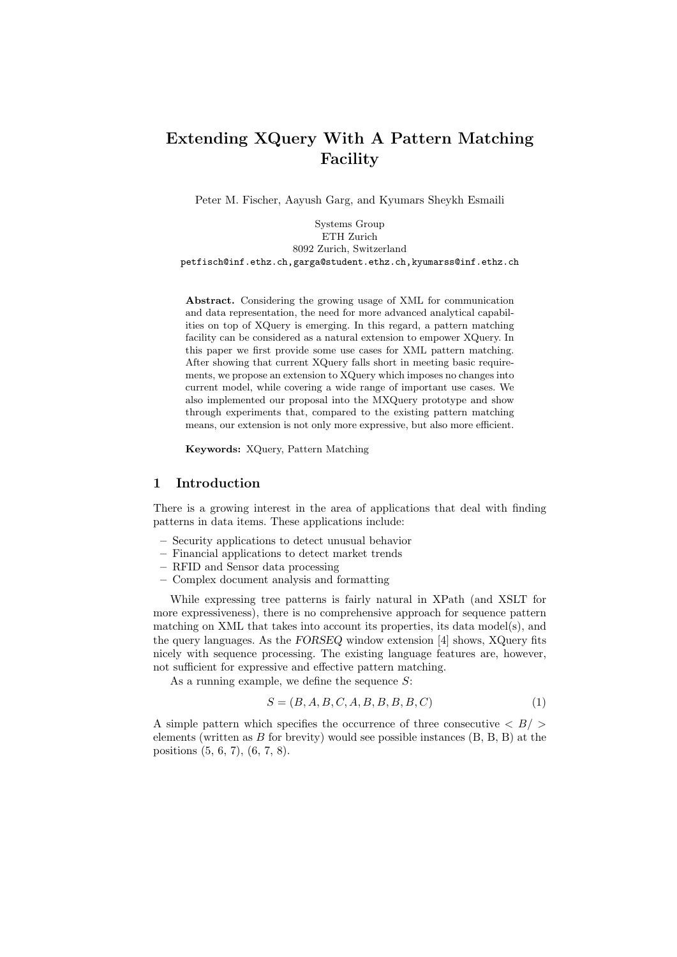Peter M. Fischer, Aayush Garg, and Kyumars Sheykh Esmaili

Systems Group ETH Zurich 8092 Zurich, Switzerland petfisch@inf.ethz.ch,garga@student.ethz.ch,kyumarss@inf.ethz.ch

Abstract. Considering the growing usage of XML for communication and data representation, the need for more advanced analytical capabilities on top of XQuery is emerging. In this regard, a pattern matching facility can be considered as a natural extension to empower XQuery. In this paper we first provide some use cases for XML pattern matching. After showing that current XQuery falls short in meeting basic requirements, we propose an extension to XQuery which imposes no changes into current model, while covering a wide range of important use cases. We also implemented our proposal into the MXQuery prototype and show through experiments that, compared to the existing pattern matching means, our extension is not only more expressive, but also more efficient.

Keywords: XQuery, Pattern Matching

# 1 Introduction

There is a growing interest in the area of applications that deal with finding patterns in data items. These applications include:

- Security applications to detect unusual behavior
- Financial applications to detect market trends
- RFID and Sensor data processing
- Complex document analysis and formatting

While expressing tree patterns is fairly natural in XPath (and XSLT for more expressiveness), there is no comprehensive approach for sequence pattern matching on XML that takes into account its properties, its data model(s), and the query languages. As the FORSEQ window extension [4] shows, XQuery fits nicely with sequence processing. The existing language features are, however, not sufficient for expressive and effective pattern matching.

As a running example, we define the sequence  $S$ :

$$
S = (B, A, B, C, A, B, B, B, B, C)
$$
 (1)

A simple pattern which specifies the occurrence of three consecutive  $\langle B \rangle$ elements (written as  $B$  for brevity) would see possible instances  $(B, B, B)$  at the positions (5, 6, 7), (6, 7, 8).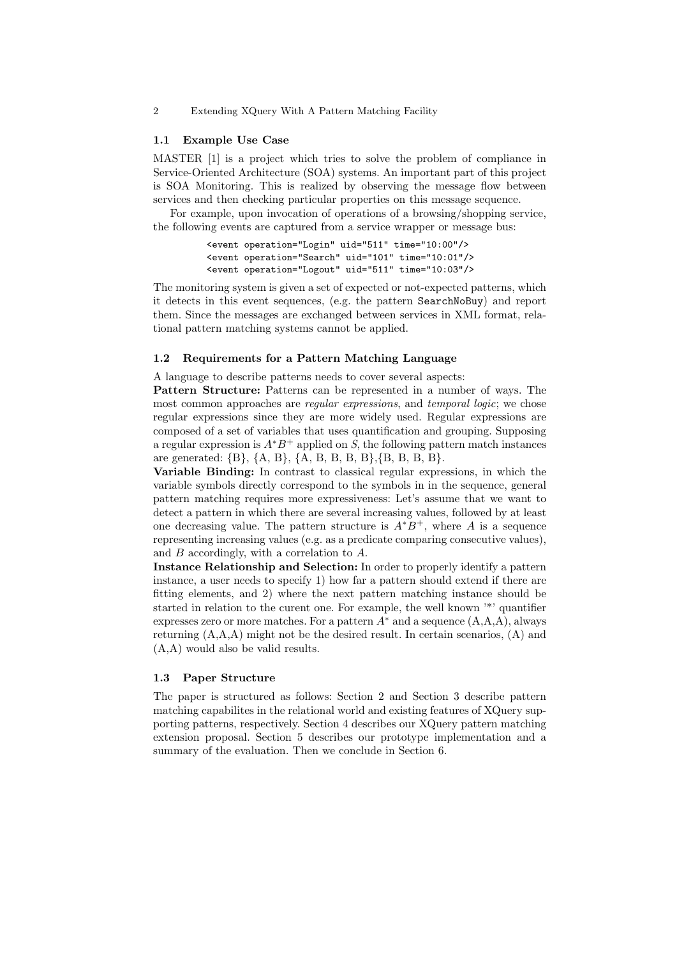### 1.1 Example Use Case

MASTER [1] is a project which tries to solve the problem of compliance in Service-Oriented Architecture (SOA) systems. An important part of this project is SOA Monitoring. This is realized by observing the message flow between services and then checking particular properties on this message sequence.

For example, upon invocation of operations of a browsing/shopping service, the following events are captured from a service wrapper or message bus:

> <event operation="Login" uid="511" time="10:00"/> <event operation="Search" uid="101" time="10:01"/> <event operation="Logout" uid="511" time="10:03"/>

The monitoring system is given a set of expected or not-expected patterns, which it detects in this event sequences, (e.g. the pattern SearchNoBuy) and report them. Since the messages are exchanged between services in XML format, relational pattern matching systems cannot be applied.

### 1.2 Requirements for a Pattern Matching Language

A language to describe patterns needs to cover several aspects:

Pattern Structure: Patterns can be represented in a number of ways. The most common approaches are regular expressions, and temporal logic; we chose regular expressions since they are more widely used. Regular expressions are composed of a set of variables that uses quantification and grouping. Supposing a regular expression is  $A^*B^+$  applied on S, the following pattern match instances are generated: {B}, {A, B}, {A, B, B, B, B},{B, B, B, B}.

Variable Binding: In contrast to classical regular expressions, in which the variable symbols directly correspond to the symbols in in the sequence, general pattern matching requires more expressiveness: Let's assume that we want to detect a pattern in which there are several increasing values, followed by at least one decreasing value. The pattern structure is  $A^*B^+$ , where A is a sequence representing increasing values (e.g. as a predicate comparing consecutive values), and B accordingly, with a correlation to A.

Instance Relationship and Selection: In order to properly identify a pattern instance, a user needs to specify 1) how far a pattern should extend if there are fitting elements, and 2) where the next pattern matching instance should be started in relation to the curent one. For example, the well known '\*' quantifier expresses zero or more matches. For a pattern  $A^*$  and a sequence  $(A,A,A)$ , always returning  $(A, A, A)$  might not be the desired result. In certain scenarios,  $(A)$  and (A,A) would also be valid results.

### 1.3 Paper Structure

The paper is structured as follows: Section 2 and Section 3 describe pattern matching capabilites in the relational world and existing features of XQuery supporting patterns, respectively. Section 4 describes our XQuery pattern matching extension proposal. Section 5 describes our prototype implementation and a summary of the evaluation. Then we conclude in Section 6.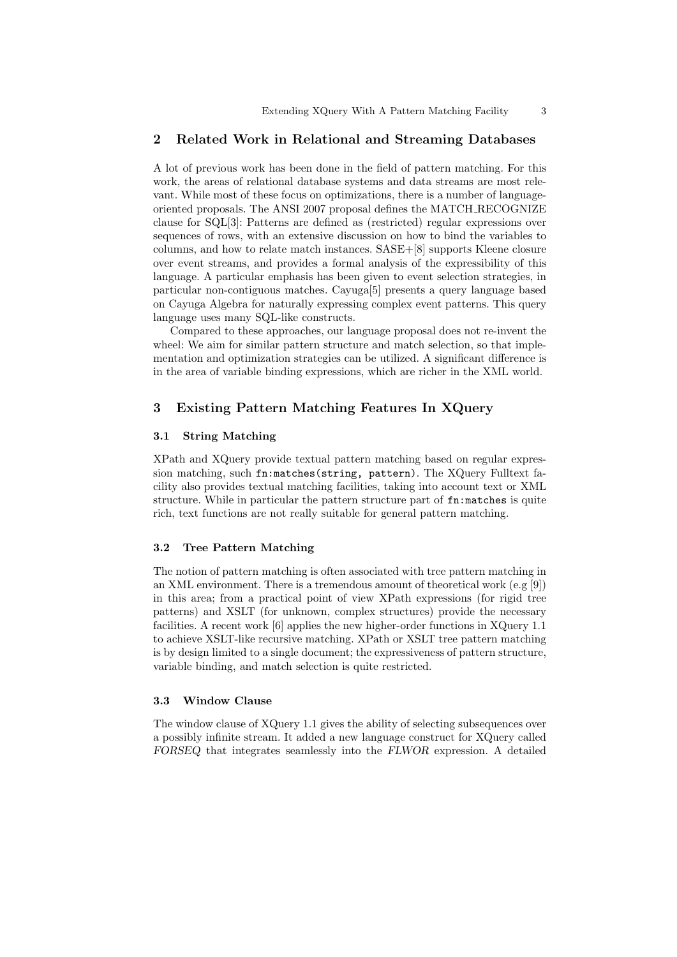# 2 Related Work in Relational and Streaming Databases

A lot of previous work has been done in the field of pattern matching. For this work, the areas of relational database systems and data streams are most relevant. While most of these focus on optimizations, there is a number of languageoriented proposals. The ANSI 2007 proposal defines the MATCH RECOGNIZE clause for SQL[3]: Patterns are defined as (restricted) regular expressions over sequences of rows, with an extensive discussion on how to bind the variables to columns, and how to relate match instances. SASE+[8] supports Kleene closure over event streams, and provides a formal analysis of the expressibility of this language. A particular emphasis has been given to event selection strategies, in particular non-contiguous matches. Cayuga[5] presents a query language based on Cayuga Algebra for naturally expressing complex event patterns. This query language uses many SQL-like constructs.

Compared to these approaches, our language proposal does not re-invent the wheel: We aim for similar pattern structure and match selection, so that implementation and optimization strategies can be utilized. A significant difference is in the area of variable binding expressions, which are richer in the XML world.

# 3 Existing Pattern Matching Features In XQuery

### 3.1 String Matching

XPath and XQuery provide textual pattern matching based on regular expression matching, such fn:matches(string, pattern). The XQuery Fulltext facility also provides textual matching facilities, taking into account text or XML structure. While in particular the pattern structure part of fn:matches is quite rich, text functions are not really suitable for general pattern matching.

# 3.2 Tree Pattern Matching

The notion of pattern matching is often associated with tree pattern matching in an XML environment. There is a tremendous amount of theoretical work (e.g [9]) in this area; from a practical point of view XPath expressions (for rigid tree patterns) and XSLT (for unknown, complex structures) provide the necessary facilities. A recent work [6] applies the new higher-order functions in XQuery 1.1 to achieve XSLT-like recursive matching. XPath or XSLT tree pattern matching is by design limited to a single document; the expressiveness of pattern structure, variable binding, and match selection is quite restricted.

### 3.3 Window Clause

The window clause of XQuery 1.1 gives the ability of selecting subsequences over a possibly infinite stream. It added a new language construct for XQuery called FORSEQ that integrates seamlessly into the FLWOR expression. A detailed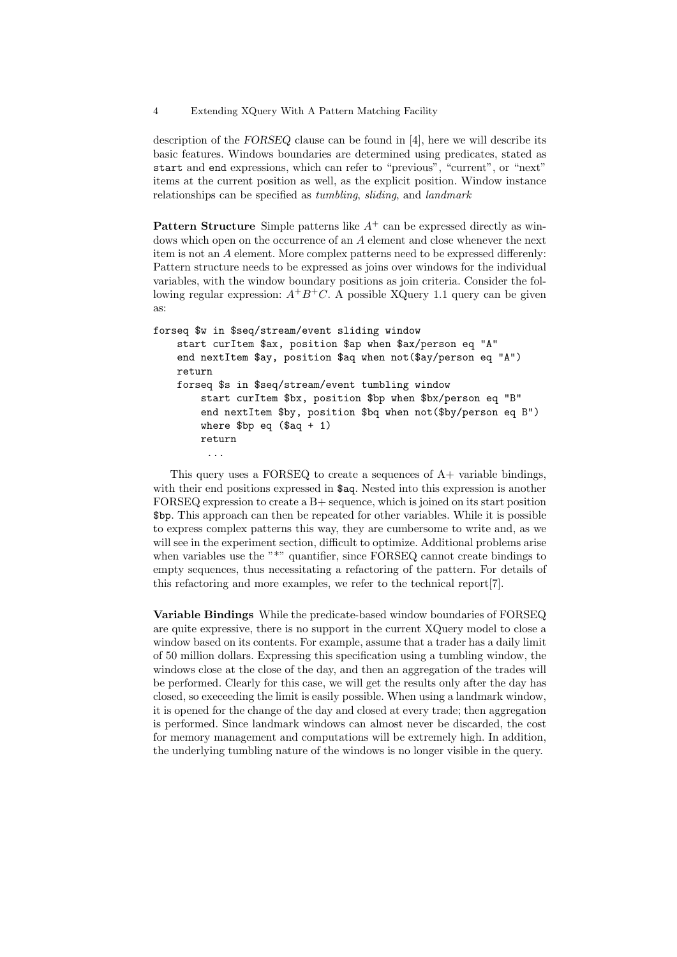description of the FORSEQ clause can be found in [4], here we will describe its basic features. Windows boundaries are determined using predicates, stated as start and end expressions, which can refer to "previous", "current", or "next" items at the current position as well, as the explicit position. Window instance relationships can be specified as tumbling, sliding, and landmark

**Pattern Structure** Simple patterns like  $A^+$  can be expressed directly as windows which open on the occurrence of an A element and close whenever the next item is not an A element. More complex patterns need to be expressed differenly: Pattern structure needs to be expressed as joins over windows for the individual variables, with the window boundary positions as join criteria. Consider the following regular expression:  $A^{+}B^{+}C$ . A possible XQuery 1.1 query can be given as:

```
forseq $w in $seq/stream/event sliding window
   start curItem $ax, position $ap when $ax/person eq "A"
   end nextItem $ay, position $aq when not($ay/person eq "A")
   return
   forseq $s in $seq/stream/event tumbling window
        start curItem $bx, position $bp when $bx/person eq "B"
        end nextItem $by, position $bq when not($by/person eq B")
       where bpp eq (\$aq + 1)return
         ...
```
This query uses a FORSEQ to create a sequences of A+ variable bindings, with their end positions expressed in  $a$ <sub>aq</sub>. Nested into this expression is another FORSEQ expression to create a B+ sequence, which is joined on its start position \$bp. This approach can then be repeated for other variables. While it is possible to express complex patterns this way, they are cumbersome to write and, as we will see in the experiment section, difficult to optimize. Additional problems arise when variables use the "\*" quantifier, since FORSEQ cannot create bindings to empty sequences, thus necessitating a refactoring of the pattern. For details of this refactoring and more examples, we refer to the technical report[7].

Variable Bindings While the predicate-based window boundaries of FORSEQ are quite expressive, there is no support in the current XQuery model to close a window based on its contents. For example, assume that a trader has a daily limit of 50 million dollars. Expressing this specification using a tumbling window, the windows close at the close of the day, and then an aggregation of the trades will be performed. Clearly for this case, we will get the results only after the day has closed, so execeeding the limit is easily possible. When using a landmark window, it is opened for the change of the day and closed at every trade; then aggregation is performed. Since landmark windows can almost never be discarded, the cost for memory management and computations will be extremely high. In addition, the underlying tumbling nature of the windows is no longer visible in the query.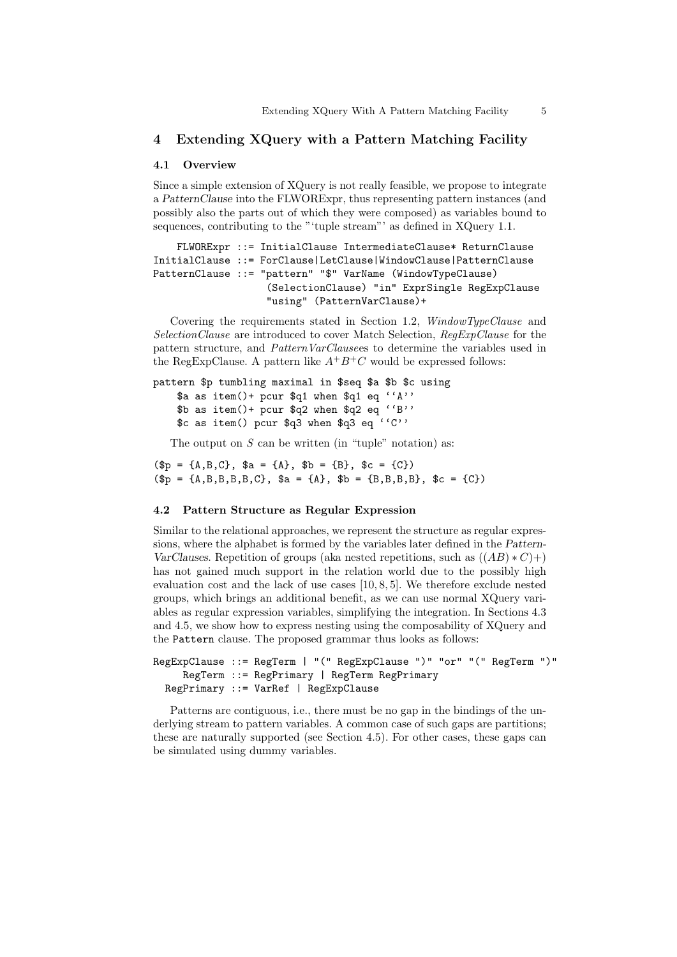#### 4.1 Overview

Since a simple extension of XQuery is not really feasible, we propose to integrate a PatternClause into the FLWORExpr, thus representing pattern instances (and possibly also the parts out of which they were composed) as variables bound to sequences, contributing to the "'tuple stream"' as defined in XQuery 1.1.

```
FLWORExpr ::= InitialClause IntermediateClause* ReturnClause
InitialClause ::= ForClause|LetClause|WindowClause|PatternClause
PatternClause ::= "pattern" "$" VarName (WindowTypeClause)
                   (SelectionClause) "in" ExprSingle RegExpClause
                   "using" (PatternVarClause)+
```
Covering the requirements stated in Section 1.2, WindowTypeClause and SelectionClause are introduced to cover Match Selection, RegExpClause for the pattern structure, and *PatternVarClausees* to determine the variables used in the RegExpClause. A pattern like  $A^{+}B^{+}C$  would be expressed follows:

```
pattern $p tumbling maximal in $seq $a $b $c using
    $a as item()+ pcur $q1 when $q1 eq ''A''
   $b as item()+ pcur $q2 when $q2 eq ''B''
   $c as item() pcur $q3 when $q3 eq ''C''
```
The output on  $S$  can be written (in "tuple" notation) as:

 $(\$p = \{A, B, C\}, \$a = \{A\}, \$b = \{B\}, \$c = \{C\})$  $(\$p = \{A,B,B,B,B,C\}, \$a = \{A\}, \$b = \{B,B,B,B\}, \$c = \{C\})$ 

# 4.2 Pattern Structure as Regular Expression

Similar to the relational approaches, we represent the structure as regular expressions, where the alphabet is formed by the variables later defined in the Pattern-VarClauses. Repetition of groups (aka nested repetitions, such as  $((AB) * C)$ +) has not gained much support in the relation world due to the possibly high evaluation cost and the lack of use cases [10, 8, 5]. We therefore exclude nested groups, which brings an additional benefit, as we can use normal XQuery variables as regular expression variables, simplifying the integration. In Sections 4.3 and 4.5, we show how to express nesting using the composability of XQuery and the Pattern clause. The proposed grammar thus looks as follows:

```
RegExpClause ::= RegTerm | "(" RegExpClause ")" "or" "(" RegTerm ")"
     RegTerm ::= RegPrimary | RegTerm RegPrimary
  RegPrimary ::= VarRef | RegExpClause
```
Patterns are contiguous, i.e., there must be no gap in the bindings of the underlying stream to pattern variables. A common case of such gaps are partitions; these are naturally supported (see Section 4.5). For other cases, these gaps can be simulated using dummy variables.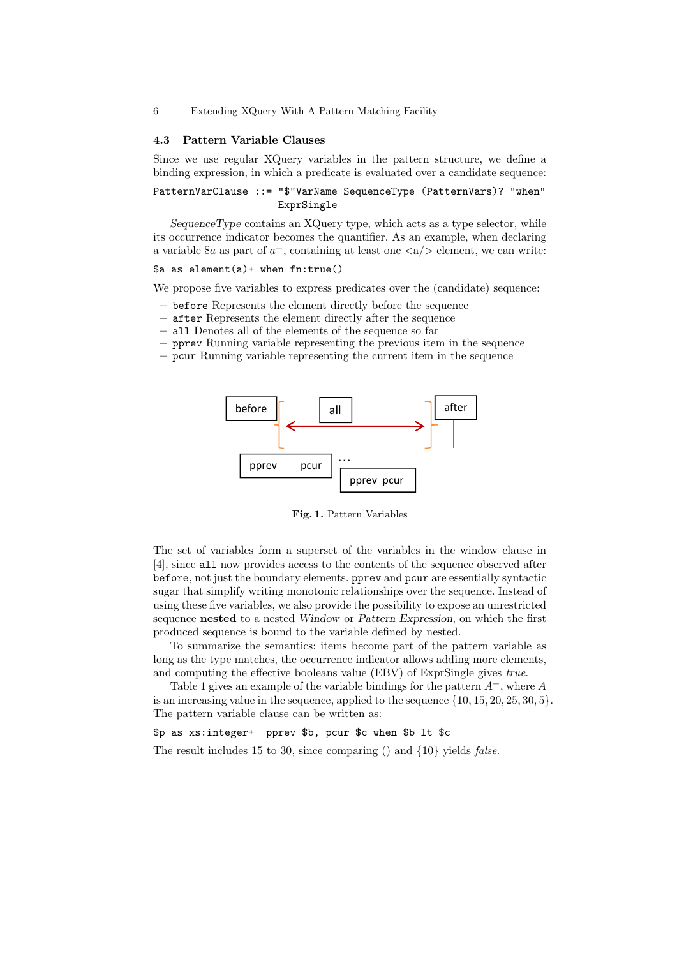#### 4.3 Pattern Variable Clauses

Since we use regular XQuery variables in the pattern structure, we define a binding expression, in which a predicate is evaluated over a candidate sequence:

PatternVarClause ::= "\$"VarName SequenceType (PatternVars)? "when" ExprSingle

SequenceType contains an XQuery type, which acts as a type selector, while its occurrence indicator becomes the quantifier. As an example, when declaring a variable \$a as part of  $a^+$ , containing at least one  $\langle a \rangle$  element, we can write:

### \$a as element(a)+ when fn:true()

We propose five variables to express predicates over the (candidate) sequence:

- before Represents the element directly before the sequence
- after Represents the element directly after the sequence
- all Denotes all of the elements of the sequence so far
- pprev Running variable representing the previous item in the sequence
- pcur Running variable representing the current item in the sequence



Fig. 1. Pattern Variables

The set of variables form a superset of the variables in the window clause in [4], since all now provides access to the contents of the sequence observed after before, not just the boundary elements. pprev and pcur are essentially syntactic sugar that simplify writing monotonic relationships over the sequence. Instead of using these five variables, we also provide the possibility to expose an unrestricted sequence nested to a nested Window or Pattern Expression, on which the first produced sequence is bound to the variable defined by nested.

To summarize the semantics: items become part of the pattern variable as long as the type matches, the occurrence indicator allows adding more elements, and computing the effective booleans value (EBV) of ExprSingle gives true.

Table 1 gives an example of the variable bindings for the pattern  $A^+$ , where A is an increasing value in the sequence, applied to the sequence  $\{10, 15, 20, 25, 30, 5\}.$ The pattern variable clause can be written as:

## \$p as xs:integer+ pprev \$b, pcur \$c when \$b lt \$c

The result includes 15 to 30, since comparing () and {10} yields false.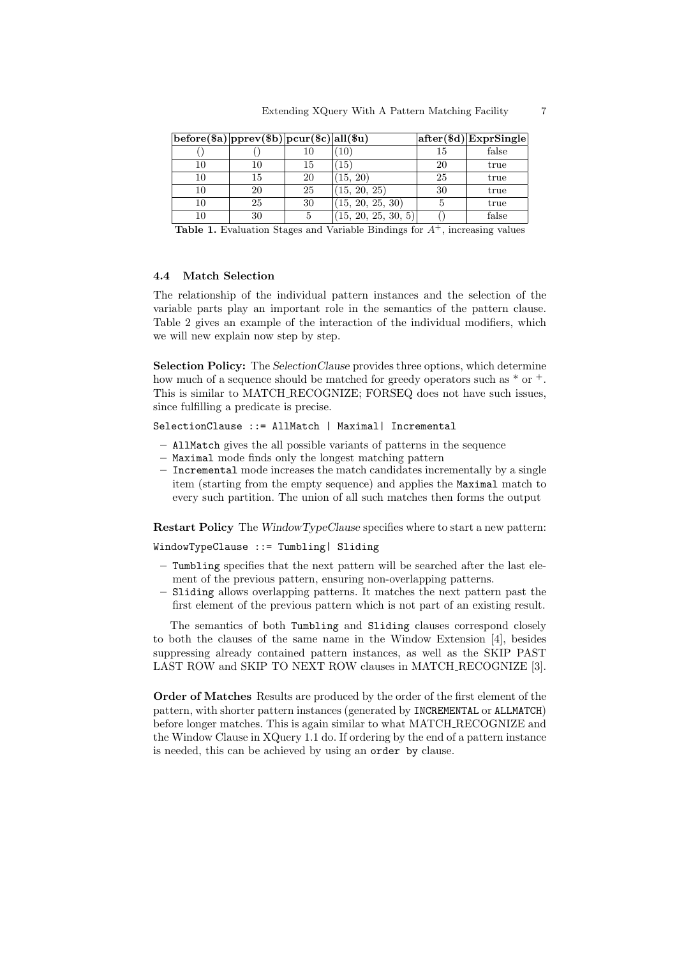| $\lceil \text{before}(\$a) \rceil$ pprev $(\$b) \lceil \text{pur}(\$c) \rceil$ all $(\$u)$ |    |    |                     |    | $ \text{after}(\text{\$d}) \text{ExprSingle} $ |
|--------------------------------------------------------------------------------------------|----|----|---------------------|----|------------------------------------------------|
|                                                                                            |    | 10 | 10)                 | 15 | false                                          |
| 10                                                                                         | 10 | 15 | 15)                 | 20 | true                                           |
| 10                                                                                         | 15 | 20 | (15, 20)            | 25 | true                                           |
| 10                                                                                         | 20 | 25 | (15, 20, 25)        | 30 | true                                           |
| 10                                                                                         | 25 | 30 | (15, 20, 25, 30)    | 5  | true                                           |
| 10                                                                                         | 30 | 5  | (15, 20, 25, 30, 5) |    | false                                          |

Table 1. Evaluation Stages and Variable Bindings for  $A^+$ , increasing values

#### 4.4 Match Selection

The relationship of the individual pattern instances and the selection of the variable parts play an important role in the semantics of the pattern clause. Table 2 gives an example of the interaction of the individual modifiers, which we will new explain now step by step.

Selection Policy: The SelectionClause provides three options, which determine how much of a sequence should be matched for greedy operators such as  $*$  or  $+$ . This is similar to MATCH RECOGNIZE; FORSEQ does not have such issues, since fulfilling a predicate is precise.

SelectionClause ::= AllMatch | Maximal| Incremental

- AllMatch gives the all possible variants of patterns in the sequence
- Maximal mode finds only the longest matching pattern
- Incremental mode increases the match candidates incrementally by a single item (starting from the empty sequence) and applies the Maximal match to every such partition. The union of all such matches then forms the output

Restart Policy The WindowTypeClause specifies where to start a new pattern:

WindowTypeClause ::= Tumbling| Sliding

- Tumbling specifies that the next pattern will be searched after the last element of the previous pattern, ensuring non-overlapping patterns.
- Sliding allows overlapping patterns. It matches the next pattern past the first element of the previous pattern which is not part of an existing result.

The semantics of both Tumbling and Sliding clauses correspond closely to both the clauses of the same name in the Window Extension [4], besides suppressing already contained pattern instances, as well as the SKIP PAST LAST ROW and SKIP TO NEXT ROW clauses in MATCH RECOGNIZE [3].

Order of Matches Results are produced by the order of the first element of the pattern, with shorter pattern instances (generated by INCREMENTAL or ALLMATCH) before longer matches. This is again similar to what MATCH RECOGNIZE and the Window Clause in XQuery 1.1 do. If ordering by the end of a pattern instance is needed, this can be achieved by using an order by clause.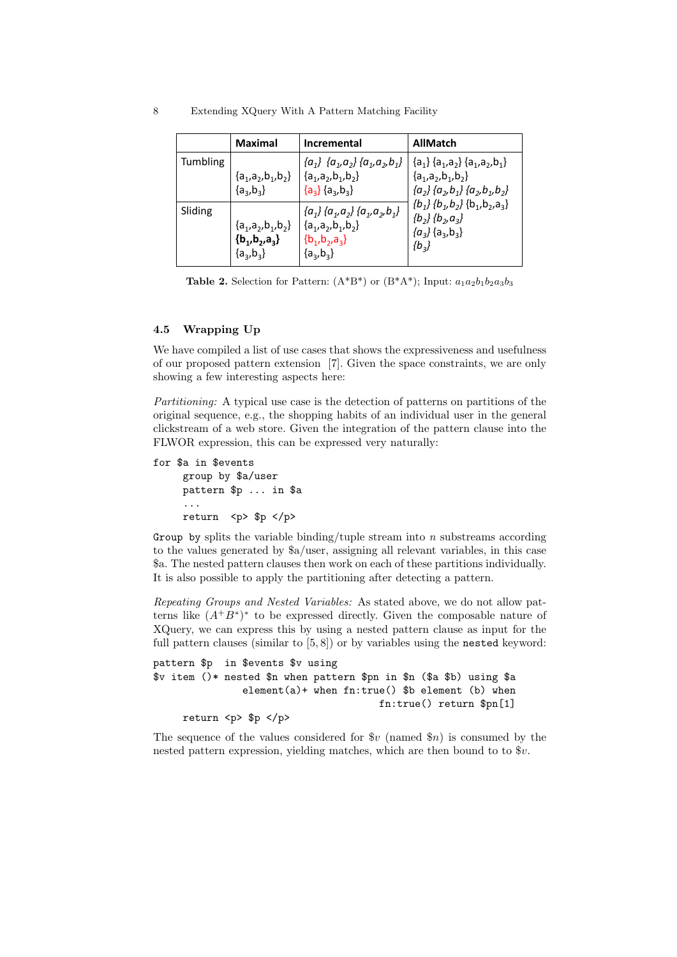|                 | Maximal                                                  | <b>Incremental</b>                                                                                                              | <b>AllMatch</b>                                                                                               |  |
|-----------------|----------------------------------------------------------|---------------------------------------------------------------------------------------------------------------------------------|---------------------------------------------------------------------------------------------------------------|--|
| <b>Tumbling</b> | ${a_1, a_2, b_1, b_2}$<br>${a_3, b_3}$                   | ${a_1} {a_2} {a_3} {a_2} {a_3} {a_2} {a_3} {a_1} {a_2} {a_3} {a_1} {a_2} {a_2}$<br>${a_1, a_2, b_1, b_2}$<br>${a_3} {a_2, b_3}$ | ${a_1, a_2, b_1, b_2}$<br>${a_2} {a_2, b_1} {a_2, b_1, b_2}$                                                  |  |
| Sliding         | ${a_1, a_2, b_1, b_2}$<br>${b_1,b_2,a_3}$<br>${a_3,b_3}$ | ${a_1} {a_2} {a_3} {a_2} {a_2} {a_2} {b_1}$<br>${a_1, a_2, b_1, b_2}$<br>${b_1,b_2,a_3}$<br>${a_3, b_3}$                        | ${b_1} {b_2} {b_2} {b_1} {b_2}$<br>${b_2} {b_2, a_3}$<br>${a_3}$ {a <sub>3</sub> ,b <sub>3</sub> }<br>${b_3}$ |  |

Table 2. Selection for Pattern:  $(A^*B^*)$  or  $(B^*A^*)$ ; Input:  $a_1a_2b_1b_2a_3b_3$ 

# 4.5 Wrapping Up

We have compiled a list of use cases that shows the expressiveness and usefulness of our proposed pattern extension [7]. Given the space constraints, we are only showing a few interesting aspects here:

Partitioning: A typical use case is the detection of patterns on partitions of the original sequence, e.g., the shopping habits of an individual user in the general clickstream of a web store. Given the integration of the pattern clause into the FLWOR expression, this can be expressed very naturally:

```
for $a in $events
     group by $a/user
    pattern $p ... in $a
     ...
    return <p> $p </p>
```
Group by splits the variable binding/tuple stream into  $n$  substreams according to the values generated by \$a/user, assigning all relevant variables, in this case \$a. The nested pattern clauses then work on each of these partitions individually. It is also possible to apply the partitioning after detecting a pattern.

Repeating Groups and Nested Variables: As stated above, we do not allow patterns like  $(A^+B^*)^*$  to be expressed directly. Given the composable nature of XQuery, we can express this by using a nested pattern clause as input for the full pattern clauses (similar to [5, 8]) or by variables using the nested keyword:

```
pattern $p in $events $v using
$v item ()* nested $n when pattern $pn in $n ($a $b) using $a
               element(a)+ when fn:true() $b element (b) when
                                      fn:true() return $pn[1]
    return <p> $p </p>
```
The sequence of the values considered for  $\hat{v}$  (named  $\hat{v}$ ) is consumed by the nested pattern expression, yielding matches, which are then bound to to \$v.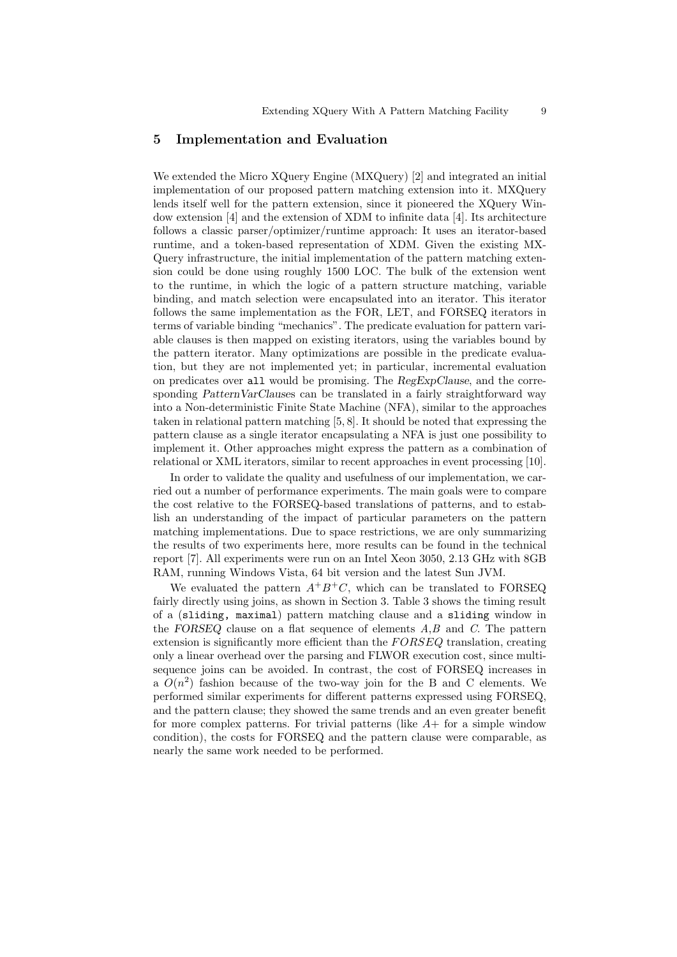# 5 Implementation and Evaluation

We extended the Micro XQuery Engine (MXQuery) [2] and integrated an initial implementation of our proposed pattern matching extension into it. MXQuery lends itself well for the pattern extension, since it pioneered the XQuery Window extension [4] and the extension of XDM to infinite data [4]. Its architecture follows a classic parser/optimizer/runtime approach: It uses an iterator-based runtime, and a token-based representation of XDM. Given the existing MX-Query infrastructure, the initial implementation of the pattern matching extension could be done using roughly 1500 LOC. The bulk of the extension went to the runtime, in which the logic of a pattern structure matching, variable binding, and match selection were encapsulated into an iterator. This iterator follows the same implementation as the FOR, LET, and FORSEQ iterators in terms of variable binding "mechanics". The predicate evaluation for pattern variable clauses is then mapped on existing iterators, using the variables bound by the pattern iterator. Many optimizations are possible in the predicate evaluation, but they are not implemented yet; in particular, incremental evaluation on predicates over all would be promising. The RegExpClause, and the corresponding PatternVarClauses can be translated in a fairly straightforward way into a Non-deterministic Finite State Machine (NFA), similar to the approaches taken in relational pattern matching [5, 8]. It should be noted that expressing the pattern clause as a single iterator encapsulating a NFA is just one possibility to implement it. Other approaches might express the pattern as a combination of relational or XML iterators, similar to recent approaches in event processing [10].

In order to validate the quality and usefulness of our implementation, we carried out a number of performance experiments. The main goals were to compare the cost relative to the FORSEQ-based translations of patterns, and to establish an understanding of the impact of particular parameters on the pattern matching implementations. Due to space restrictions, we are only summarizing the results of two experiments here, more results can be found in the technical report [7]. All experiments were run on an Intel Xeon 3050, 2.13 GHz with 8GB RAM, running Windows Vista, 64 bit version and the latest Sun JVM.

We evaluated the pattern  $A^+B^+C$ , which can be translated to FORSEQ fairly directly using joins, as shown in Section 3. Table 3 shows the timing result of a (sliding, maximal) pattern matching clause and a sliding window in the FORSEQ clause on a flat sequence of elements  $A, B$  and  $C$ . The pattern extension is significantly more efficient than the  $FORSEQ$  translation, creating only a linear overhead over the parsing and FLWOR execution cost, since multisequence joins can be avoided. In contrast, the cost of FORSEQ increases in a  $O(n^2)$  fashion because of the two-way join for the B and C elements. We performed similar experiments for different patterns expressed using FORSEQ, and the pattern clause; they showed the same trends and an even greater benefit for more complex patterns. For trivial patterns (like  $A+$  for a simple window condition), the costs for FORSEQ and the pattern clause were comparable, as nearly the same work needed to be performed.